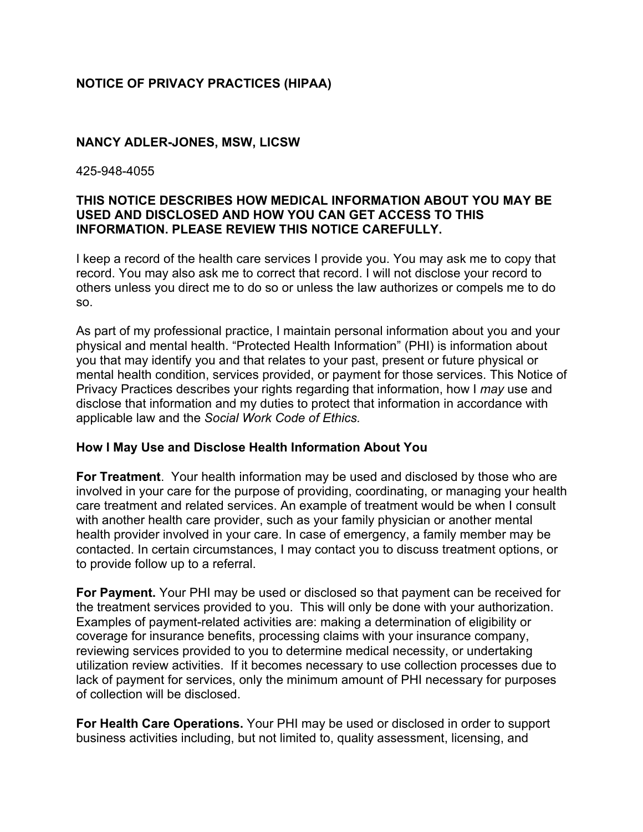# **NOTICE OF PRIVACY PRACTICES (HIPAA)**

### **NANCY ADLER-JONES, MSW, LICSW**

425-948-4055

## **THIS NOTICE DESCRIBES HOW MEDICAL INFORMATION ABOUT YOU MAY BE USED AND DISCLOSED AND HOW YOU CAN GET ACCESS TO THIS INFORMATION. PLEASE REVIEW THIS NOTICE CAREFULLY.**

I keep a record of the health care services I provide you. You may ask me to copy that record. You may also ask me to correct that record. I will not disclose your record to others unless you direct me to do so or unless the law authorizes or compels me to do so.

As part of my professional practice, I maintain personal information about you and your physical and mental health. "Protected Health Information" (PHI) is information about you that may identify you and that relates to your past, present or future physical or mental health condition, services provided, or payment for those services. This Notice of Privacy Practices describes your rights regarding that information, how I *may* use and disclose that information and my duties to protect that information in accordance with applicable law and the *Social Work Code of Ethics.*

### **How I May Use and Disclose Health Information About You**

**For Treatment**. Your health information may be used and disclosed by those who are involved in your care for the purpose of providing, coordinating, or managing your health care treatment and related services. An example of treatment would be when I consult with another health care provider, such as your family physician or another mental health provider involved in your care. In case of emergency, a family member may be contacted. In certain circumstances, I may contact you to discuss treatment options, or to provide follow up to a referral.

**For Payment.** Your PHI may be used or disclosed so that payment can be received for the treatment services provided to you. This will only be done with your authorization. Examples of payment-related activities are: making a determination of eligibility or coverage for insurance benefits, processing claims with your insurance company, reviewing services provided to you to determine medical necessity, or undertaking utilization review activities. If it becomes necessary to use collection processes due to lack of payment for services, only the minimum amount of PHI necessary for purposes of collection will be disclosed.

**For Health Care Operations.** Your PHI may be used or disclosed in order to support business activities including, but not limited to, quality assessment, licensing, and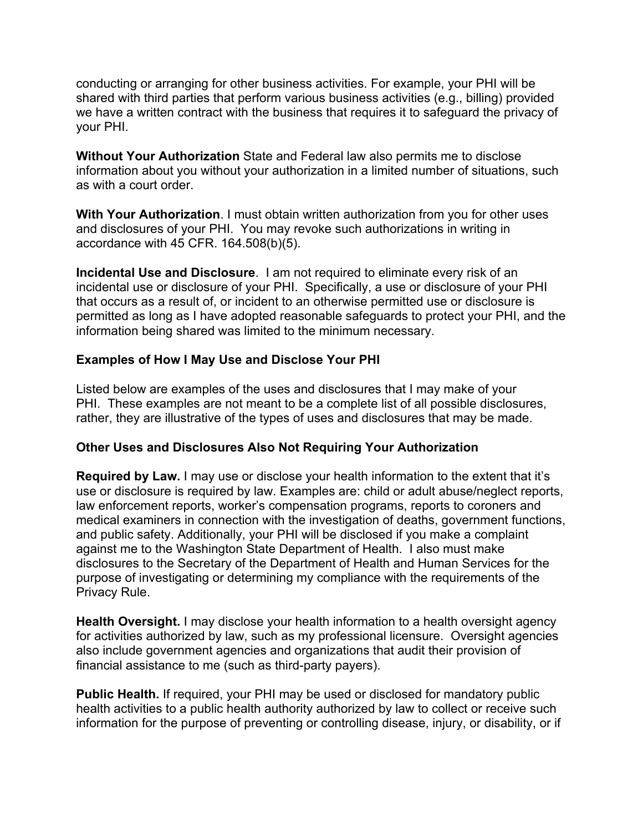conducting or arranging for other business activities. For example, your PHI will be shared with third parties that perform various business activities (e.g., billing) provided we have a written contract with the business that requires it to safeguard the privacy of your PHI.

**Without Your Authorization** State and Federal law also permits me to disclose information about you without your authorization in a limited number of situations, such as with a court order.

**With Your Authorization**. I must obtain written authorization from you for other uses and disclosures of your PHI. You may revoke such authorizations in writing in accordance with 45 CFR. 164.508(b)(5).

**Incidental Use and Disclosure**. I am not required to eliminate every risk of an incidental use or disclosure of your PHI. Specifically, a use or disclosure of your PHI that occurs as a result of, or incident to an otherwise permitted use or disclosure is permitted as long as I have adopted reasonable safeguards to protect your PHI, and the information being shared was limited to the minimum necessary.

## **Examples of How I May Use and Disclose Your PHI**

Listed below are examples of the uses and disclosures that I may make of your PHI. These examples are not meant to be a complete list of all possible disclosures, rather, they are illustrative of the types of uses and disclosures that may be made.

### **Other Uses and Disclosures Also Not Requiring Your Authorization**

**Required by Law.** I may use or disclose your health information to the extent that it's use or disclosure is required by law. Examples are: child or adult abuse/neglect reports, law enforcement reports, worker's compensation programs, reports to coroners and medical examiners in connection with the investigation of deaths, government functions, and public safety. Additionally, your PHI will be disclosed if you make a complaint against me to the Washington State Department of Health. I also must make disclosures to the Secretary of the Department of Health and Human Services for the purpose of investigating or determining my compliance with the requirements of the Privacy Rule.

**Health Oversight.** I may disclose your health information to a health oversight agency for activities authorized by law, such as my professional licensure. Oversight agencies also include government agencies and organizations that audit their provision of financial assistance to me (such as third-party payers).

**Public Health.** If required, your PHI may be used or disclosed for mandatory public health activities to a public health authority authorized by law to collect or receive such information for the purpose of preventing or controlling disease, injury, or disability, or if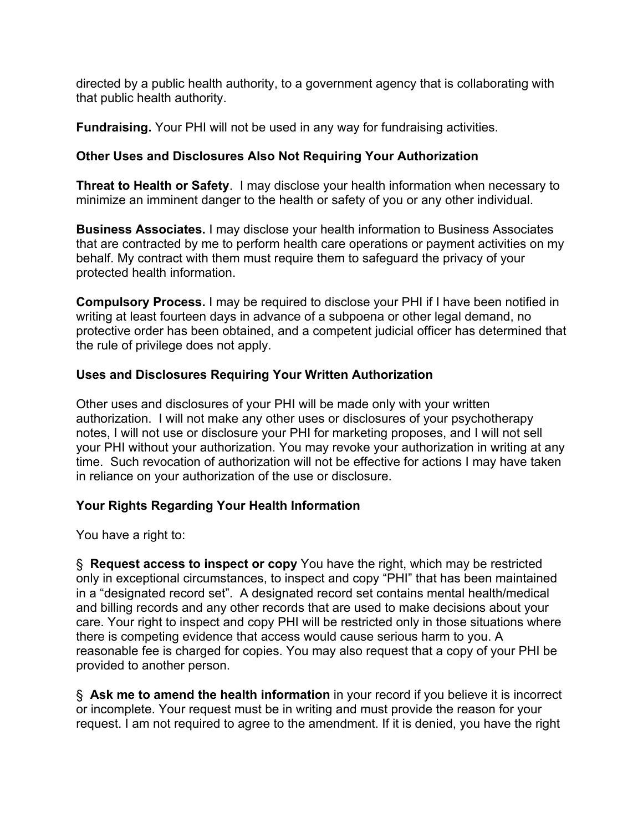directed by a public health authority, to a government agency that is collaborating with that public health authority.

**Fundraising.** Your PHI will not be used in any way for fundraising activities.

# **Other Uses and Disclosures Also Not Requiring Your Authorization**

**Threat to Health or Safety**. I may disclose your health information when necessary to minimize an imminent danger to the health or safety of you or any other individual.

**Business Associates.** I may disclose your health information to Business Associates that are contracted by me to perform health care operations or payment activities on my behalf. My contract with them must require them to safeguard the privacy of your protected health information.

**Compulsory Process.** I may be required to disclose your PHI if I have been notified in writing at least fourteen days in advance of a subpoena or other legal demand, no protective order has been obtained, and a competent judicial officer has determined that the rule of privilege does not apply.

# **Uses and Disclosures Requiring Your Written Authorization**

Other uses and disclosures of your PHI will be made only with your written authorization. I will not make any other uses or disclosures of your psychotherapy notes, I will not use or disclosure your PHI for marketing proposes, and I will not sell your PHI without your authorization. You may revoke your authorization in writing at any time. Such revocation of authorization will not be effective for actions I may have taken in reliance on your authorization of the use or disclosure.

# **Your Rights Regarding Your Health Information**

You have a right to:

§ **Request access to inspect or copy** You have the right, which may be restricted only in exceptional circumstances, to inspect and copy "PHI" that has been maintained in a "designated record set". A designated record set contains mental health/medical and billing records and any other records that are used to make decisions about your care. Your right to inspect and copy PHI will be restricted only in those situations where there is competing evidence that access would cause serious harm to you. A reasonable fee is charged for copies. You may also request that a copy of your PHI be provided to another person.

§ **Ask me to amend the health information** in your record if you believe it is incorrect or incomplete. Your request must be in writing and must provide the reason for your request. I am not required to agree to the amendment. If it is denied, you have the right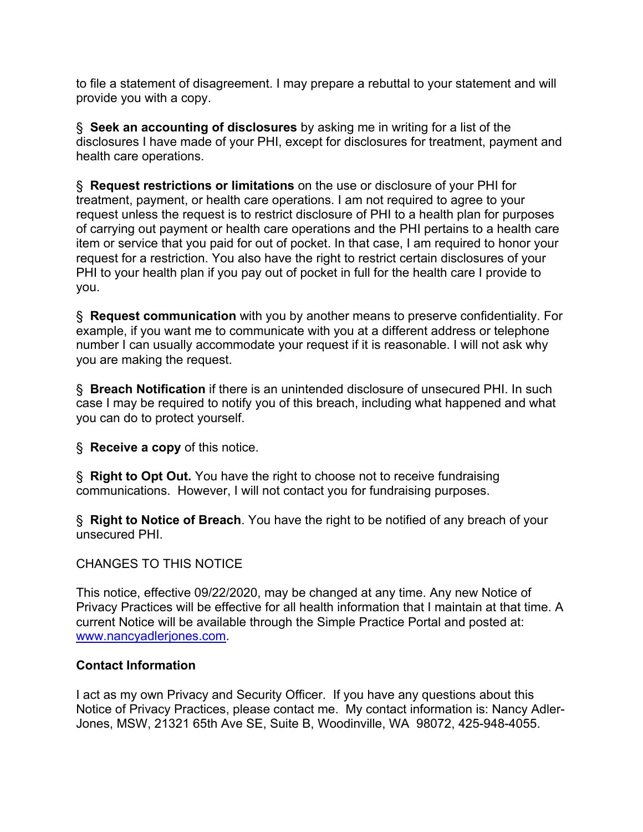to file a statement of disagreement. I may prepare a rebuttal to your statement and will provide you with a copy.

§ **Seek an accounting of disclosures** by asking me in writing for a list of the disclosures I have made of your PHI, except for disclosures for treatment, payment and health care operations.

§ **Request restrictions or limitations** on the use or disclosure of your PHI for treatment, payment, or health care operations. I am not required to agree to your request unless the request is to restrict disclosure of PHI to a health plan for purposes of carrying out payment or health care operations and the PHI pertains to a health care item or service that you paid for out of pocket. In that case, I am required to honor your request for a restriction. You also have the right to restrict certain disclosures of your PHI to your health plan if you pay out of pocket in full for the health care I provide to you.

§ **Request communication** with you by another means to preserve confidentiality. For example, if you want me to communicate with you at a different address or telephone number I can usually accommodate your request if it is reasonable. I will not ask why you are making the request.

§ **Breach Notification** if there is an unintended disclosure of unsecured PHI. In such case I may be required to notify you of this breach, including what happened and what you can do to protect yourself.

§ **Receive a copy** of this notice.

§ **Right to Opt Out.** You have the right to choose not to receive fundraising communications. However, I will not contact you for fundraising purposes.

§ **Right to Notice of Breach**. You have the right to be notified of any breach of your unsecured PHI.

# CHANGES TO THIS NOTICE

This notice, effective 09/22/2020, may be changed at any time. Any new Notice of Privacy Practices will be effective for all health information that I maintain at that time. A current Notice will be available through the Simple Practice Portal and posted at: www.nancyadlerjones.com.

### **Contact Information**

I act as my own Privacy and Security Officer. If you have any questions about this Notice of Privacy Practices, please contact me. My contact information is: Nancy Adler-Jones, MSW, 21321 65th Ave SE, Suite B, Woodinville, WA 98072, 425-948-4055.